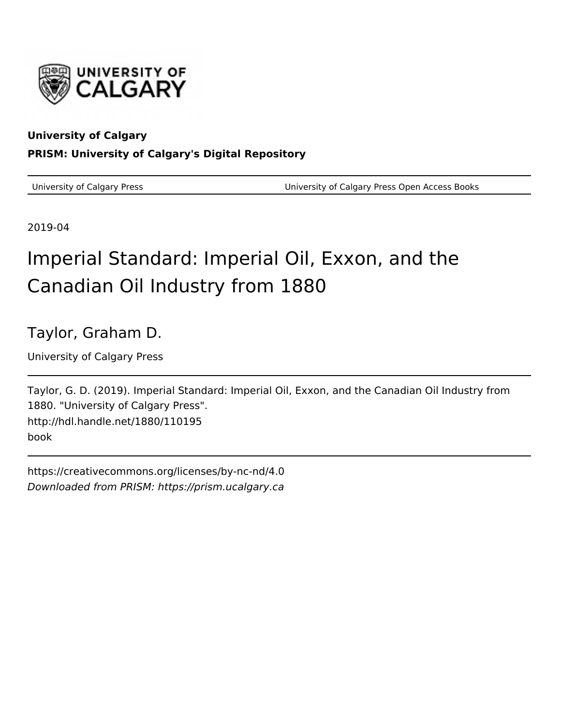

## **University of Calgary PRISM: University of Calgary's Digital Repository**

University of Calgary Press University of Calgary Press Open Access Books

2019-04

# Imperial Standard: Imperial Oil, Exxon, and the Canadian Oil Industry from 1880

Taylor, Graham D.

University of Calgary Press

Taylor, G. D. (2019). Imperial Standard: Imperial Oil, Exxon, and the Canadian Oil Industry from 1880. "University of Calgary Press". http://hdl.handle.net/1880/110195 book

https://creativecommons.org/licenses/by-nc-nd/4.0 Downloaded from PRISM: https://prism.ucalgary.ca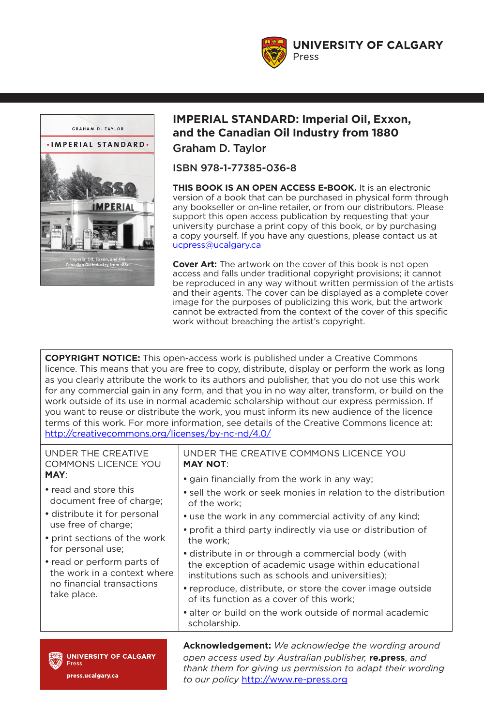**UNIVERSITY OF CALGARY** Press



#### **IMPERIAL STANDARD: Imperial Oil, Exxon, and the Canadian Oil Industry from 1880**  Graham D. Taylor

ISBN 978-1-77385-036-8

**THIS BOOK IS AN OPEN ACCESS E-BOOK.** It is an electronic version of a book that can be purchased in physical form through any bookseller or on-line retailer, or from our distributors. Please support this open access publication by requesting that your university purchase a print copy of this book, or by purchasing a copy yourself. If you have any questions, please contact us at ucpress@ucalgary.ca

**Cover Art:** The artwork on the cover of this book is not open access and falls under traditional copyright provisions; it cannot be reproduced in any way without written permission of the artists and their agents. The cover can be displayed as a complete cover image for the purposes of publicizing this work, but the artwork cannot be extracted from the context of the cover of this specific work without breaching the artist's copyright.

**COPYRIGHT NOTICE:** This open-access work is published under a Creative Commons licence. This means that you are free to copy, distribute, display or perform the work as long as you clearly attribute the work to its authors and publisher, that you do not use this work for any commercial gain in any form, and that you in no way alter, transform, or build on the work outside of its use in normal academic scholarship without our express permission. If you want to reuse or distribute the work, you must inform its new audience of the licence terms of this work. For more information, see details of the Creative Commons licence at: http://creativecommons.org/licenses/by-nc-nd/4.0/

UNDER THE CREATIVE COMMONS LICENCE YOU **MAY**: • read and store this document free of charge; • distribute it for personal use free of charge; • print sections of the work for personal use; • read or perform parts of the work in a context where no financial transactions take place. UNDER THE CREATIVE COMMONS LICENCE YOU **MAY NOT**: • gain financially from the work in any way; • sell the work or seek monies in relation to the distribution of the work; • use the work in any commercial activity of any kind; • profit a third party indirectly via use or distribution of the work; • distribute in or through a commercial body (with the exception of academic usage within educational institutions such as schools and universities); • reproduce, distribute, or store the cover image outside of its function as a cover of this work; • alter or build on the work outside of normal academic scholarship.

**UNIVERSITY OF CALGARY** Press press.ucalgary.ca

**Acknowledgement:** *We acknowledge the wording around open access used by Australian publisher,* **re.press**, *and thank them for giving us permission to adapt their wording to our policy* http://www.re-press.org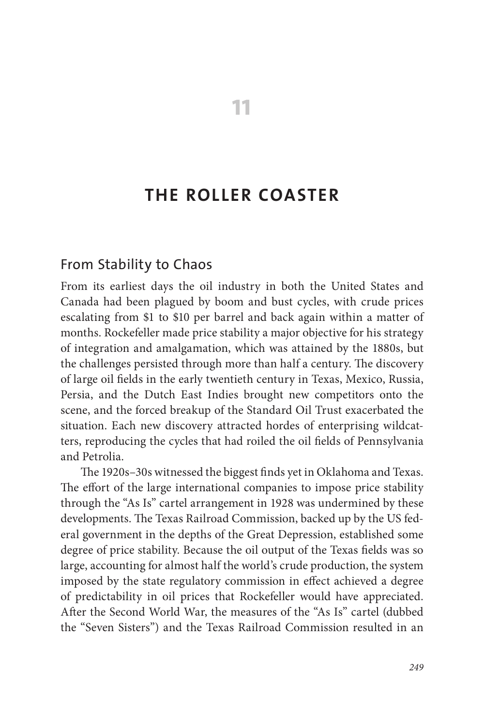### **THE ROLLER COASTER**

**11**

#### From Stability to Chaos

From its earliest days the oil industry in both the United States and Canada had been plagued by boom and bust cycles, with crude prices escalating from \$1 to \$10 per barrel and back again within a matter of months. Rockefeller made price stability a major objective for his strategy of integration and amalgamation, which was attained by the 1880s, but the challenges persisted through more than half a century. The discovery of large oil fields in the early twentieth century in Texas, Mexico, Russia, Persia, and the Dutch East Indies brought new competitors onto the scene, and the forced breakup of the Standard Oil Trust exacerbated the situation. Each new discovery attracted hordes of enterprising wildcatters, reproducing the cycles that had roiled the oil fields of Pennsylvania and Petrolia.

The 1920s–30s witnessed the biggest finds yet in Oklahoma and Texas. The effort of the large international companies to impose price stability through the "As Is" cartel arrangement in 1928 was undermined by these developments. The Texas Railroad Commission, backed up by the US federal government in the depths of the Great Depression, established some degree of price stability. Because the oil output of the Texas fields was so large, accounting for almost half the world's crude production, the system imposed by the state regulatory commission in effect achieved a degree of predictability in oil prices that Rockefeller would have appreciated. After the Second World War, the measures of the "As Is" cartel (dubbed the "Seven Sisters") and the Texas Railroad Commission resulted in an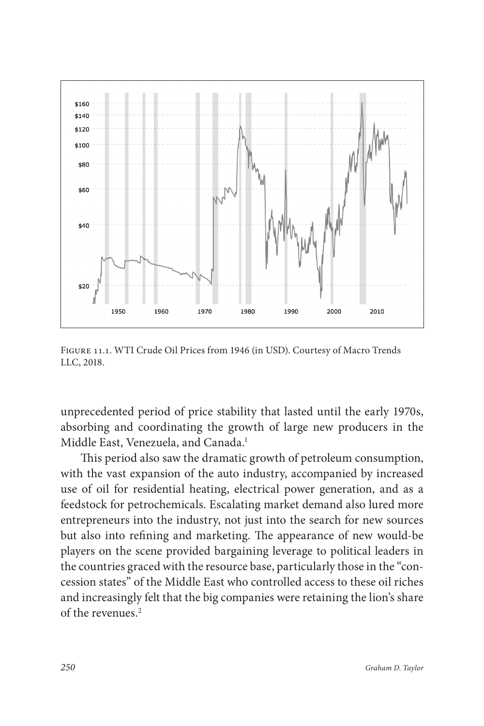

Figure 11.1. WTI Crude Oil Prices from 1946 (in USD). Courtesy of Macro Trends LLC, 2018.

unprecedented period of price stability that lasted until the early 1970s, absorbing and coordinating the growth of large new producers in the Middle East, Venezuela, and Canada.<sup>1</sup>

This period also saw the dramatic growth of petroleum consumption, with the vast expansion of the auto industry, accompanied by increased use of oil for residential heating, electrical power generation, and as a feedstock for petrochemicals. Escalating market demand also lured more entrepreneurs into the industry, not just into the search for new sources but also into refining and marketing. The appearance of new would-be players on the scene provided bargaining leverage to political leaders in the countries graced with the resource base, particularly those in the "concession states" of the Middle East who controlled access to these oil riches and increasingly felt that the big companies were retaining the lion's share of the revenues.2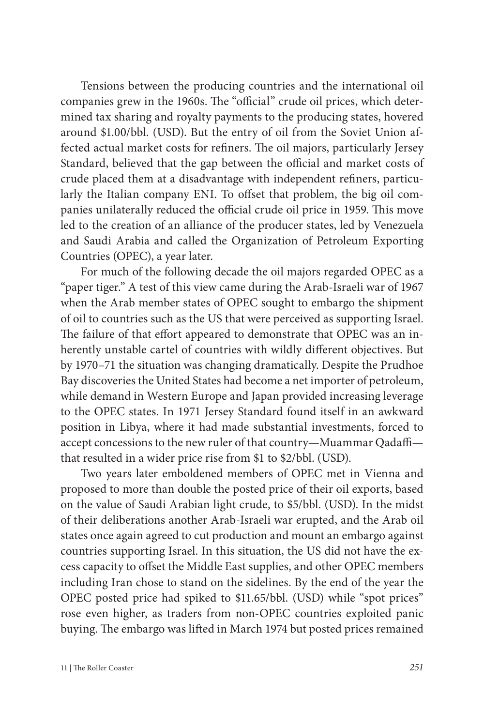Tensions between the producing countries and the international oil companies grew in the 1960s. The "official" crude oil prices, which determined tax sharing and royalty payments to the producing states, hovered around \$1.00/bbl. (USD). But the entry of oil from the Soviet Union affected actual market costs for refiners. The oil majors, particularly Jersey Standard, believed that the gap between the official and market costs of crude placed them at a disadvantage with independent refiners, particularly the Italian company ENI. To offset that problem, the big oil companies unilaterally reduced the official crude oil price in 1959. This move led to the creation of an alliance of the producer states, led by Venezuela and Saudi Arabia and called the Organization of Petroleum Exporting Countries (OPEC), a year later.

For much of the following decade the oil majors regarded OPEC as a "paper tiger." A test of this view came during the Arab-Israeli war of 1967 when the Arab member states of OPEC sought to embargo the shipment of oil to countries such as the US that were perceived as supporting Israel. The failure of that effort appeared to demonstrate that OPEC was an inherently unstable cartel of countries with wildly different objectives. But by 1970–71 the situation was changing dramatically. Despite the Prudhoe Bay discoveries the United States had become a net importer of petroleum, while demand in Western Europe and Japan provided increasing leverage to the OPEC states. In 1971 Jersey Standard found itself in an awkward position in Libya, where it had made substantial investments, forced to accept concessions to the new ruler of that country—Muammar Qadaffi that resulted in a wider price rise from \$1 to \$2/bbl. (USD).

Two years later emboldened members of OPEC met in Vienna and proposed to more than double the posted price of their oil exports, based on the value of Saudi Arabian light crude, to \$5/bbl. (USD). In the midst of their deliberations another Arab-Israeli war erupted, and the Arab oil states once again agreed to cut production and mount an embargo against countries supporting Israel. In this situation, the US did not have the excess capacity to offset the Middle East supplies, and other OPEC members including Iran chose to stand on the sidelines. By the end of the year the OPEC posted price had spiked to \$11.65/bbl. (USD) while "spot prices" rose even higher, as traders from non-OPEC countries exploited panic buying. The embargo was lifted in March 1974 but posted prices remained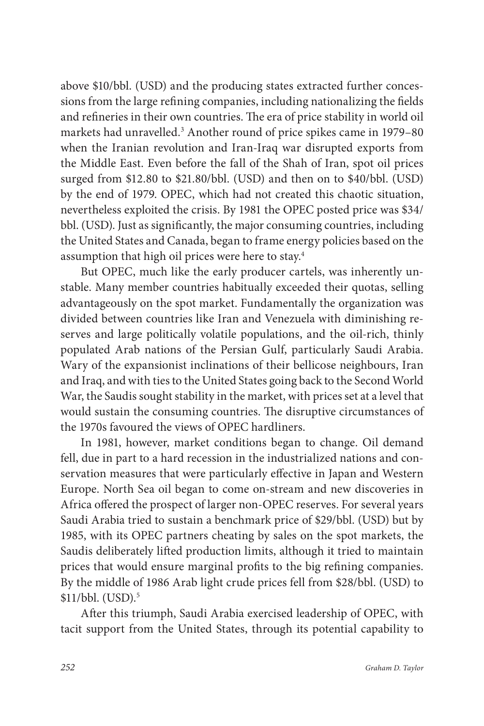above \$10/bbl. (USD) and the producing states extracted further concessions from the large refining companies, including nationalizing the fields and refineries in their own countries. The era of price stability in world oil markets had unravelled.<sup>3</sup> Another round of price spikes came in 1979–80 when the Iranian revolution and Iran-Iraq war disrupted exports from the Middle East. Even before the fall of the Shah of Iran, spot oil prices surged from \$12.80 to \$21.80/bbl. (USD) and then on to \$40/bbl. (USD) by the end of 1979. OPEC, which had not created this chaotic situation, nevertheless exploited the crisis. By 1981 the OPEC posted price was \$34/ bbl. (USD). Just as significantly, the major consuming countries, including the United States and Canada, began to frame energy policies based on the assumption that high oil prices were here to stay.4

But OPEC, much like the early producer cartels, was inherently unstable. Many member countries habitually exceeded their quotas, selling advantageously on the spot market. Fundamentally the organization was divided between countries like Iran and Venezuela with diminishing reserves and large politically volatile populations, and the oil-rich, thinly populated Arab nations of the Persian Gulf, particularly Saudi Arabia. Wary of the expansionist inclinations of their bellicose neighbours, Iran and Iraq, and with ties to the United States going back to the Second World War, the Saudis sought stability in the market, with prices set at a level that would sustain the consuming countries. The disruptive circumstances of the 1970s favoured the views of OPEC hardliners.

In 1981, however, market conditions began to change. Oil demand fell, due in part to a hard recession in the industrialized nations and conservation measures that were particularly effective in Japan and Western Europe. North Sea oil began to come on-stream and new discoveries in Africa offered the prospect of larger non-OPEC reserves. For several years Saudi Arabia tried to sustain a benchmark price of \$29/bbl. (USD) but by 1985, with its OPEC partners cheating by sales on the spot markets, the Saudis deliberately lifted production limits, although it tried to maintain prices that would ensure marginal profits to the big refining companies. By the middle of 1986 Arab light crude prices fell from \$28/bbl. (USD) to \$11/bbl. (USD).5

After this triumph, Saudi Arabia exercised leadership of OPEC, with tacit support from the United States, through its potential capability to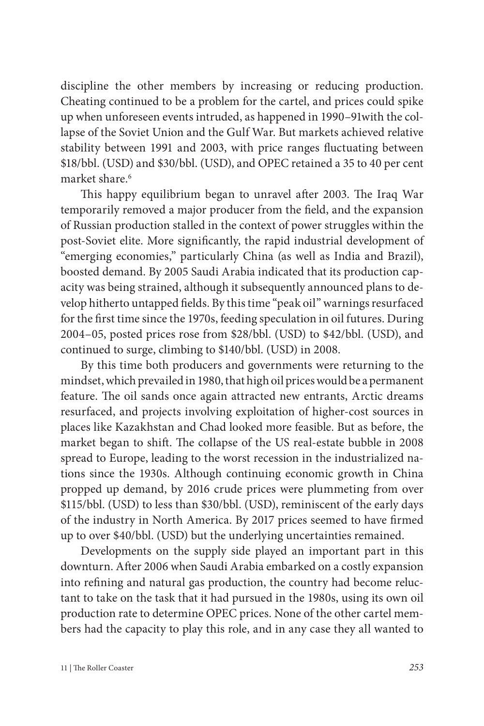discipline the other members by increasing or reducing production. Cheating continued to be a problem for the cartel, and prices could spike up when unforeseen events intruded, as happened in 1990–91with the collapse of the Soviet Union and the Gulf War. But markets achieved relative stability between 1991 and 2003, with price ranges fluctuating between \$18/bbl. (USD) and \$30/bbl. (USD), and OPEC retained a 35 to 40 per cent market share<sup>6</sup>

This happy equilibrium began to unravel after 2003. The Iraq War temporarily removed a major producer from the field, and the expansion of Russian production stalled in the context of power struggles within the post-Soviet elite. More significantly, the rapid industrial development of "emerging economies," particularly China (as well as India and Brazil), boosted demand. By 2005 Saudi Arabia indicated that its production capacity was being strained, although it subsequently announced plans to develop hitherto untapped fields. By this time "peak oil" warnings resurfaced for the first time since the 1970s, feeding speculation in oil futures. During 2004–05, posted prices rose from \$28/bbl. (USD) to \$42/bbl. (USD), and continued to surge, climbing to \$140/bbl. (USD) in 2008.

By this time both producers and governments were returning to the mindset, which prevailed in 1980, that high oil prices would be a permanent feature. The oil sands once again attracted new entrants, Arctic dreams resurfaced, and projects involving exploitation of higher-cost sources in places like Kazakhstan and Chad looked more feasible. But as before, the market began to shift. The collapse of the US real-estate bubble in 2008 spread to Europe, leading to the worst recession in the industrialized nations since the 1930s. Although continuing economic growth in China propped up demand, by 2016 crude prices were plummeting from over \$115/bbl. (USD) to less than \$30/bbl. (USD), reminiscent of the early days of the industry in North America. By 2017 prices seemed to have firmed up to over \$40/bbl. (USD) but the underlying uncertainties remained.

Developments on the supply side played an important part in this downturn. After 2006 when Saudi Arabia embarked on a costly expansion into refining and natural gas production, the country had become reluctant to take on the task that it had pursued in the 1980s, using its own oil production rate to determine OPEC prices. None of the other cartel members had the capacity to play this role, and in any case they all wanted to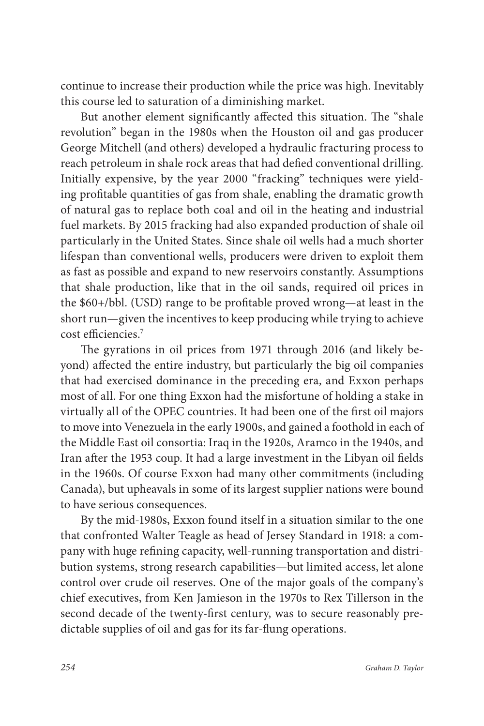continue to increase their production while the price was high. Inevitably this course led to saturation of a diminishing market.

But another element significantly affected this situation. The "shale revolution" began in the 1980s when the Houston oil and gas producer George Mitchell (and others) developed a hydraulic fracturing process to reach petroleum in shale rock areas that had defied conventional drilling. Initially expensive, by the year 2000 "fracking" techniques were yielding profitable quantities of gas from shale, enabling the dramatic growth of natural gas to replace both coal and oil in the heating and industrial fuel markets. By 2015 fracking had also expanded production of shale oil particularly in the United States. Since shale oil wells had a much shorter lifespan than conventional wells, producers were driven to exploit them as fast as possible and expand to new reservoirs constantly. Assumptions that shale production, like that in the oil sands, required oil prices in the \$60+/bbl. (USD) range to be profitable proved wrong—at least in the short run—given the incentives to keep producing while trying to achieve cost efficiencies.7

The gyrations in oil prices from 1971 through 2016 (and likely beyond) affected the entire industry, but particularly the big oil companies that had exercised dominance in the preceding era, and Exxon perhaps most of all. For one thing Exxon had the misfortune of holding a stake in virtually all of the OPEC countries. It had been one of the first oil majors to move into Venezuela in the early 1900s, and gained a foothold in each of the Middle East oil consortia: Iraq in the 1920s, Aramco in the 1940s, and Iran after the 1953 coup. It had a large investment in the Libyan oil fields in the 1960s. Of course Exxon had many other commitments (including Canada), but upheavals in some of its largest supplier nations were bound to have serious consequences.

By the mid-1980s, Exxon found itself in a situation similar to the one that confronted Walter Teagle as head of Jersey Standard in 1918: a company with huge refining capacity, well-running transportation and distribution systems, strong research capabilities—but limited access, let alone control over crude oil reserves. One of the major goals of the company's chief executives, from Ken Jamieson in the 1970s to Rex Tillerson in the second decade of the twenty-first century, was to secure reasonably predictable supplies of oil and gas for its far-flung operations.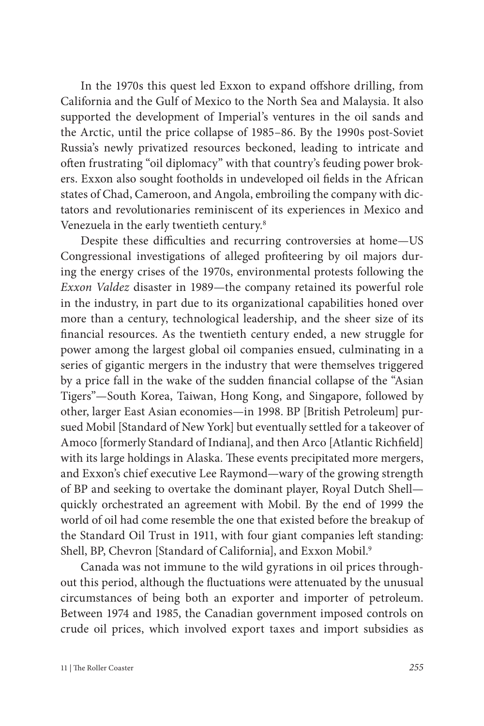In the 1970s this quest led Exxon to expand offshore drilling, from California and the Gulf of Mexico to the North Sea and Malaysia. It also supported the development of Imperial's ventures in the oil sands and the Arctic, until the price collapse of 1985–86. By the 1990s post-Soviet Russia's newly privatized resources beckoned, leading to intricate and often frustrating "oil diplomacy" with that country's feuding power brokers. Exxon also sought footholds in undeveloped oil fields in the African states of Chad, Cameroon, and Angola, embroiling the company with dictators and revolutionaries reminiscent of its experiences in Mexico and Venezuela in the early twentieth century.<sup>8</sup>

Despite these difficulties and recurring controversies at home—US Congressional investigations of alleged profiteering by oil majors during the energy crises of the 1970s, environmental protests following the *Exxon Valdez* disaster in 1989—the company retained its powerful role in the industry, in part due to its organizational capabilities honed over more than a century, technological leadership, and the sheer size of its financial resources. As the twentieth century ended, a new struggle for power among the largest global oil companies ensued, culminating in a series of gigantic mergers in the industry that were themselves triggered by a price fall in the wake of the sudden financial collapse of the "Asian Tigers"—South Korea, Taiwan, Hong Kong, and Singapore, followed by other, larger East Asian economies—in 1998. BP [British Petroleum] pursued Mobil [Standard of New York] but eventually settled for a takeover of Amoco [formerly Standard of Indiana], and then Arco [Atlantic Richfield] with its large holdings in Alaska. These events precipitated more mergers, and Exxon's chief executive Lee Raymond—wary of the growing strength of BP and seeking to overtake the dominant player, Royal Dutch Shell quickly orchestrated an agreement with Mobil. By the end of 1999 the world of oil had come resemble the one that existed before the breakup of the Standard Oil Trust in 1911, with four giant companies left standing: Shell, BP, Chevron [Standard of California], and Exxon Mobil.<sup>9</sup>

Canada was not immune to the wild gyrations in oil prices throughout this period, although the fluctuations were attenuated by the unusual circumstances of being both an exporter and importer of petroleum. Between 1974 and 1985, the Canadian government imposed controls on crude oil prices, which involved export taxes and import subsidies as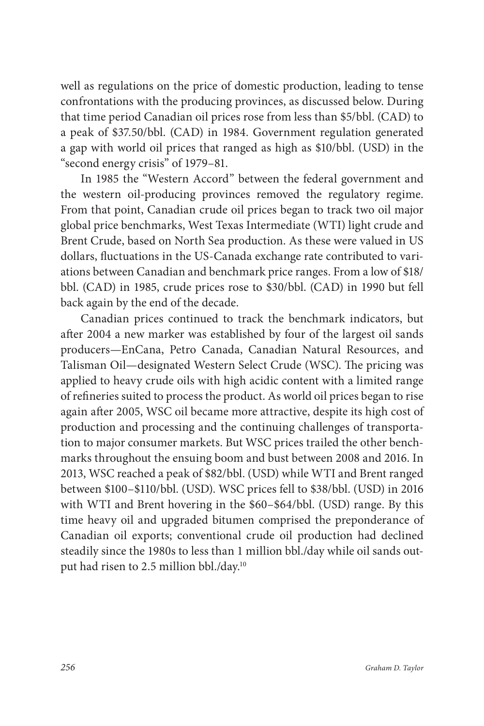well as regulations on the price of domestic production, leading to tense confrontations with the producing provinces, as discussed below. During that time period Canadian oil prices rose from less than \$5/bbl. (CAD) to a peak of \$37.50/bbl. (CAD) in 1984. Government regulation generated a gap with world oil prices that ranged as high as \$10/bbl. (USD) in the "second energy crisis" of 1979–81.

In 1985 the "Western Accord" between the federal government and the western oil-producing provinces removed the regulatory regime. From that point, Canadian crude oil prices began to track two oil major global price benchmarks, West Texas Intermediate (WTI) light crude and Brent Crude, based on North Sea production. As these were valued in US dollars, fluctuations in the US-Canada exchange rate contributed to variations between Canadian and benchmark price ranges. From a low of \$18/ bbl. (CAD) in 1985, crude prices rose to \$30/bbl. (CAD) in 1990 but fell back again by the end of the decade.

Canadian prices continued to track the benchmark indicators, but after 2004 a new marker was established by four of the largest oil sands producers—EnCana, Petro Canada, Canadian Natural Resources, and Talisman Oil—designated Western Select Crude (WSC). The pricing was applied to heavy crude oils with high acidic content with a limited range of refineries suited to process the product. As world oil prices began to rise again after 2005, WSC oil became more attractive, despite its high cost of production and processing and the continuing challenges of transportation to major consumer markets. But WSC prices trailed the other benchmarks throughout the ensuing boom and bust between 2008 and 2016. In 2013, WSC reached a peak of \$82/bbl. (USD) while WTI and Brent ranged between \$100–\$110/bbl. (USD). WSC prices fell to \$38/bbl. (USD) in 2016 with WTI and Brent hovering in the \$60–\$64/bbl. (USD) range. By this time heavy oil and upgraded bitumen comprised the preponderance of Canadian oil exports; conventional crude oil production had declined steadily since the 1980s to less than 1 million bbl./day while oil sands output had risen to 2.5 million bbl./day.10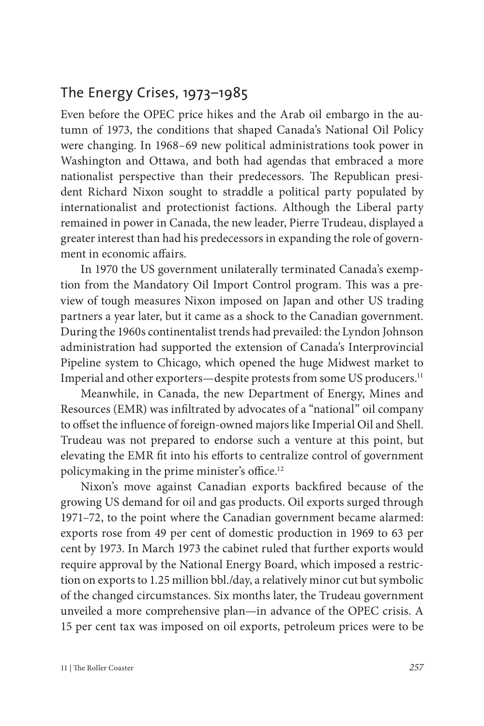#### The Energy Crises, 1973–1985

Even before the OPEC price hikes and the Arab oil embargo in the autumn of 1973, the conditions that shaped Canada's National Oil Policy were changing. In 1968–69 new political administrations took power in Washington and Ottawa, and both had agendas that embraced a more nationalist perspective than their predecessors. The Republican president Richard Nixon sought to straddle a political party populated by internationalist and protectionist factions. Although the Liberal party remained in power in Canada, the new leader, Pierre Trudeau, displayed a greater interest than had his predecessors in expanding the role of government in economic affairs.

In 1970 the US government unilaterally terminated Canada's exemption from the Mandatory Oil Import Control program. This was a preview of tough measures Nixon imposed on Japan and other US trading partners a year later, but it came as a shock to the Canadian government. During the 1960s continentalist trends had prevailed: the Lyndon Johnson administration had supported the extension of Canada's Interprovincial Pipeline system to Chicago, which opened the huge Midwest market to Imperial and other exporters—despite protests from some US producers.11

Meanwhile, in Canada, the new Department of Energy, Mines and Resources (EMR) was infiltrated by advocates of a "national" oil company to offset the influence of foreign-owned majors like Imperial Oil and Shell. Trudeau was not prepared to endorse such a venture at this point, but elevating the EMR fit into his efforts to centralize control of government policymaking in the prime minister's office.12

Nixon's move against Canadian exports backfired because of the growing US demand for oil and gas products. Oil exports surged through 1971–72, to the point where the Canadian government became alarmed: exports rose from 49 per cent of domestic production in 1969 to 63 per cent by 1973. In March 1973 the cabinet ruled that further exports would require approval by the National Energy Board, which imposed a restriction on exports to 1.25 million bbl./day, a relatively minor cut but symbolic of the changed circumstances. Six months later, the Trudeau government unveiled a more comprehensive plan—in advance of the OPEC crisis. A 15 per cent tax was imposed on oil exports, petroleum prices were to be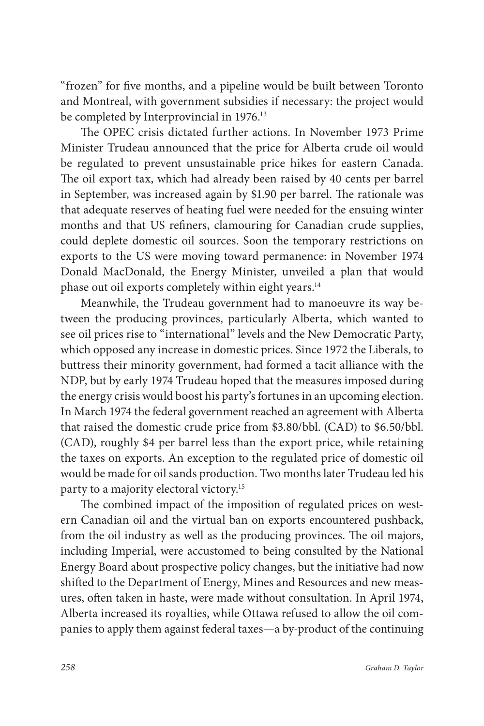"frozen" for five months, and a pipeline would be built between Toronto and Montreal, with government subsidies if necessary: the project would be completed by Interprovincial in 1976.<sup>13</sup>

The OPEC crisis dictated further actions. In November 1973 Prime Minister Trudeau announced that the price for Alberta crude oil would be regulated to prevent unsustainable price hikes for eastern Canada. The oil export tax, which had already been raised by 40 cents per barrel in September, was increased again by \$1.90 per barrel. The rationale was that adequate reserves of heating fuel were needed for the ensuing winter months and that US refiners, clamouring for Canadian crude supplies, could deplete domestic oil sources. Soon the temporary restrictions on exports to the US were moving toward permanence: in November 1974 Donald MacDonald, the Energy Minister, unveiled a plan that would phase out oil exports completely within eight years.<sup>14</sup>

Meanwhile, the Trudeau government had to manoeuvre its way between the producing provinces, particularly Alberta, which wanted to see oil prices rise to "international" levels and the New Democratic Party, which opposed any increase in domestic prices. Since 1972 the Liberals, to buttress their minority government, had formed a tacit alliance with the NDP, but by early 1974 Trudeau hoped that the measures imposed during the energy crisis would boost his party's fortunes in an upcoming election. In March 1974 the federal government reached an agreement with Alberta that raised the domestic crude price from \$3.80/bbl. (CAD) to \$6.50/bbl. (CAD), roughly \$4 per barrel less than the export price, while retaining the taxes on exports. An exception to the regulated price of domestic oil would be made for oil sands production. Two months later Trudeau led his party to a majority electoral victory.15

The combined impact of the imposition of regulated prices on western Canadian oil and the virtual ban on exports encountered pushback, from the oil industry as well as the producing provinces. The oil majors, including Imperial, were accustomed to being consulted by the National Energy Board about prospective policy changes, but the initiative had now shifted to the Department of Energy, Mines and Resources and new measures, often taken in haste, were made without consultation. In April 1974, Alberta increased its royalties, while Ottawa refused to allow the oil companies to apply them against federal taxes—a by-product of the continuing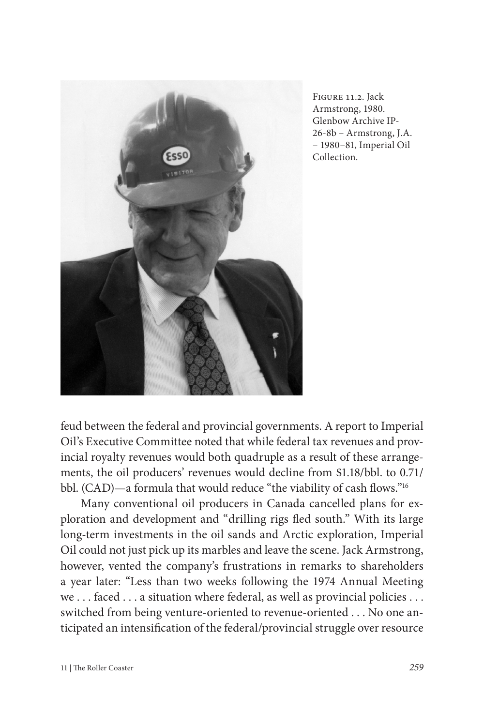

Figure 11.2. Jack Armstrong, 1980. Glenbow Archive IP-26-8b – Armstrong, J.A. – 1980–81, Imperial Oil Collection.

feud between the federal and provincial governments. A report to Imperial Oil's Executive Committee noted that while federal tax revenues and provincial royalty revenues would both quadruple as a result of these arrangements, the oil producers' revenues would decline from \$1.18/bbl. to 0.71/ bbl. (CAD)—a formula that would reduce "the viability of cash flows."<sup>16</sup>

Many conventional oil producers in Canada cancelled plans for exploration and development and "drilling rigs fled south." With its large long-term investments in the oil sands and Arctic exploration, Imperial Oil could not just pick up its marbles and leave the scene. Jack Armstrong, however, vented the company's frustrations in remarks to shareholders a year later: "Less than two weeks following the 1974 Annual Meeting we . . . faced . . . a situation where federal, as well as provincial policies . . . switched from being venture-oriented to revenue-oriented . . . No one anticipated an intensification of the federal/provincial struggle over resource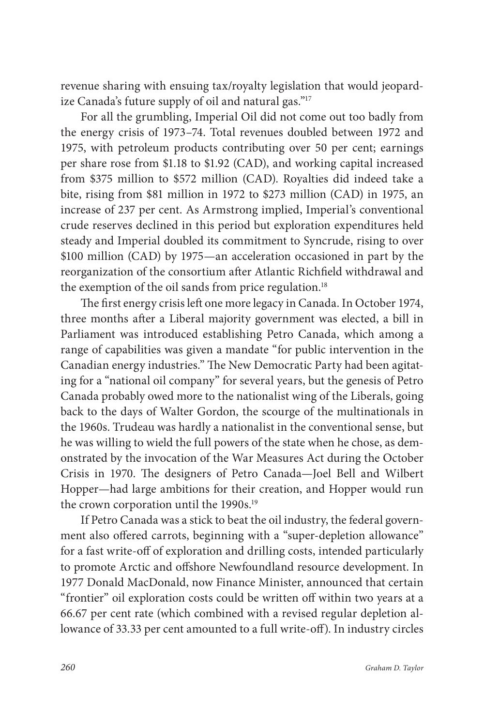revenue sharing with ensuing tax/royalty legislation that would jeopardize Canada's future supply of oil and natural gas."17

For all the grumbling, Imperial Oil did not come out too badly from the energy crisis of 1973–74. Total revenues doubled between 1972 and 1975, with petroleum products contributing over 50 per cent; earnings per share rose from \$1.18 to \$1.92 (CAD), and working capital increased from \$375 million to \$572 million (CAD). Royalties did indeed take a bite, rising from \$81 million in 1972 to \$273 million (CAD) in 1975, an increase of 237 per cent. As Armstrong implied, Imperial's conventional crude reserves declined in this period but exploration expenditures held steady and Imperial doubled its commitment to Syncrude, rising to over \$100 million (CAD) by 1975—an acceleration occasioned in part by the reorganization of the consortium after Atlantic Richfield withdrawal and the exemption of the oil sands from price regulation.<sup>18</sup>

The first energy crisis left one more legacy in Canada. In October 1974, three months after a Liberal majority government was elected, a bill in Parliament was introduced establishing Petro Canada, which among a range of capabilities was given a mandate "for public intervention in the Canadian energy industries." The New Democratic Party had been agitating for a "national oil company" for several years, but the genesis of Petro Canada probably owed more to the nationalist wing of the Liberals, going back to the days of Walter Gordon, the scourge of the multinationals in the 1960s. Trudeau was hardly a nationalist in the conventional sense, but he was willing to wield the full powers of the state when he chose, as demonstrated by the invocation of the War Measures Act during the October Crisis in 1970. The designers of Petro Canada—Joel Bell and Wilbert Hopper—had large ambitions for their creation, and Hopper would run the crown corporation until the 1990s.<sup>19</sup>

If Petro Canada was a stick to beat the oil industry, the federal government also offered carrots, beginning with a "super-depletion allowance" for a fast write-off of exploration and drilling costs, intended particularly to promote Arctic and offshore Newfoundland resource development. In 1977 Donald MacDonald, now Finance Minister, announced that certain "frontier" oil exploration costs could be written off within two years at a 66.67 per cent rate (which combined with a revised regular depletion allowance of 33.33 per cent amounted to a full write-off). In industry circles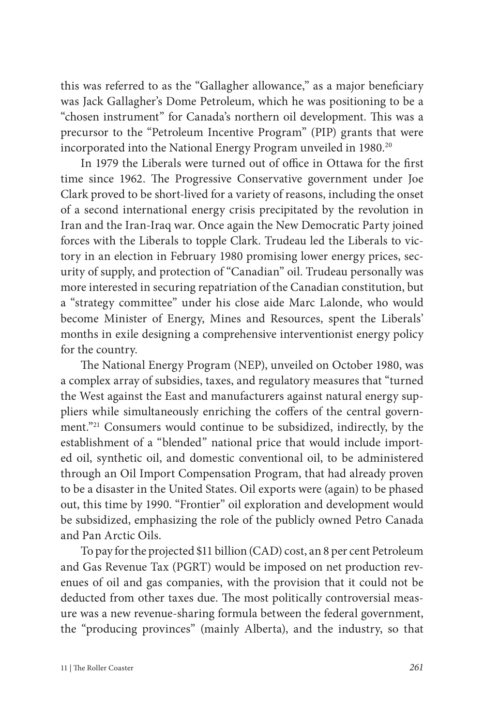this was referred to as the "Gallagher allowance," as a major beneficiary was Jack Gallagher's Dome Petroleum, which he was positioning to be a "chosen instrument" for Canada's northern oil development. This was a precursor to the "Petroleum Incentive Program" (PIP) grants that were incorporated into the National Energy Program unveiled in 1980.<sup>20</sup>

In 1979 the Liberals were turned out of office in Ottawa for the first time since 1962. The Progressive Conservative government under Joe Clark proved to be short-lived for a variety of reasons, including the onset of a second international energy crisis precipitated by the revolution in Iran and the Iran-Iraq war. Once again the New Democratic Party joined forces with the Liberals to topple Clark. Trudeau led the Liberals to victory in an election in February 1980 promising lower energy prices, security of supply, and protection of "Canadian" oil. Trudeau personally was more interested in securing repatriation of the Canadian constitution, but a "strategy committee" under his close aide Marc Lalonde, who would become Minister of Energy, Mines and Resources, spent the Liberals' months in exile designing a comprehensive interventionist energy policy for the country.

The National Energy Program (NEP), unveiled on October 1980, was a complex array of subsidies, taxes, and regulatory measures that "turned the West against the East and manufacturers against natural energy suppliers while simultaneously enriching the coffers of the central government."21 Consumers would continue to be subsidized, indirectly, by the establishment of a "blended" national price that would include imported oil, synthetic oil, and domestic conventional oil, to be administered through an Oil Import Compensation Program, that had already proven to be a disaster in the United States. Oil exports were (again) to be phased out, this time by 1990. "Frontier" oil exploration and development would be subsidized, emphasizing the role of the publicly owned Petro Canada and Pan Arctic Oils.

To pay for the projected \$11 billion (CAD) cost, an 8 per cent Petroleum and Gas Revenue Tax (PGRT) would be imposed on net production revenues of oil and gas companies, with the provision that it could not be deducted from other taxes due. The most politically controversial measure was a new revenue-sharing formula between the federal government, the "producing provinces" (mainly Alberta), and the industry, so that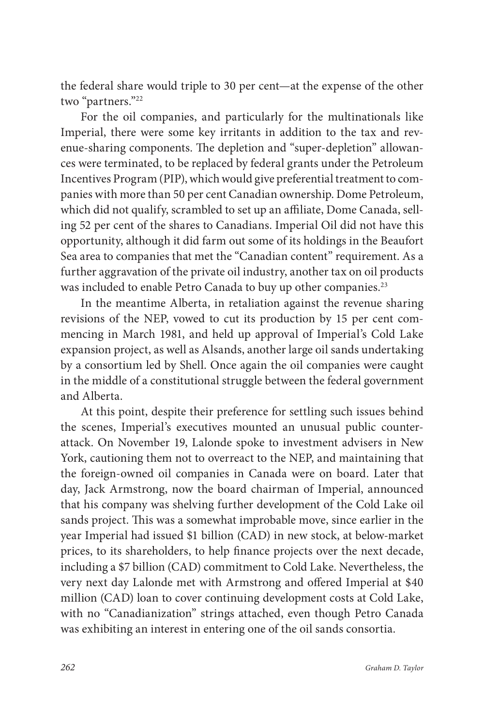the federal share would triple to 30 per cent—at the expense of the other two "partners."22

For the oil companies, and particularly for the multinationals like Imperial, there were some key irritants in addition to the tax and revenue-sharing components. The depletion and "super-depletion" allowances were terminated, to be replaced by federal grants under the Petroleum Incentives Program (PIP), which would give preferential treatment to companies with more than 50 per cent Canadian ownership. Dome Petroleum, which did not qualify, scrambled to set up an affiliate, Dome Canada, selling 52 per cent of the shares to Canadians. Imperial Oil did not have this opportunity, although it did farm out some of its holdings in the Beaufort Sea area to companies that met the "Canadian content" requirement. As a further aggravation of the private oil industry, another tax on oil products was included to enable Petro Canada to buy up other companies.<sup>23</sup>

In the meantime Alberta, in retaliation against the revenue sharing revisions of the NEP, vowed to cut its production by 15 per cent commencing in March 1981, and held up approval of Imperial's Cold Lake expansion project, as well as Alsands, another large oil sands undertaking by a consortium led by Shell. Once again the oil companies were caught in the middle of a constitutional struggle between the federal government and Alberta.

At this point, despite their preference for settling such issues behind the scenes, Imperial's executives mounted an unusual public counterattack. On November 19, Lalonde spoke to investment advisers in New York, cautioning them not to overreact to the NEP, and maintaining that the foreign-owned oil companies in Canada were on board. Later that day, Jack Armstrong, now the board chairman of Imperial, announced that his company was shelving further development of the Cold Lake oil sands project. This was a somewhat improbable move, since earlier in the year Imperial had issued \$1 billion (CAD) in new stock, at below-market prices, to its shareholders, to help finance projects over the next decade, including a \$7 billion (CAD) commitment to Cold Lake. Nevertheless, the very next day Lalonde met with Armstrong and offered Imperial at \$40 million (CAD) loan to cover continuing development costs at Cold Lake, with no "Canadianization" strings attached, even though Petro Canada was exhibiting an interest in entering one of the oil sands consortia.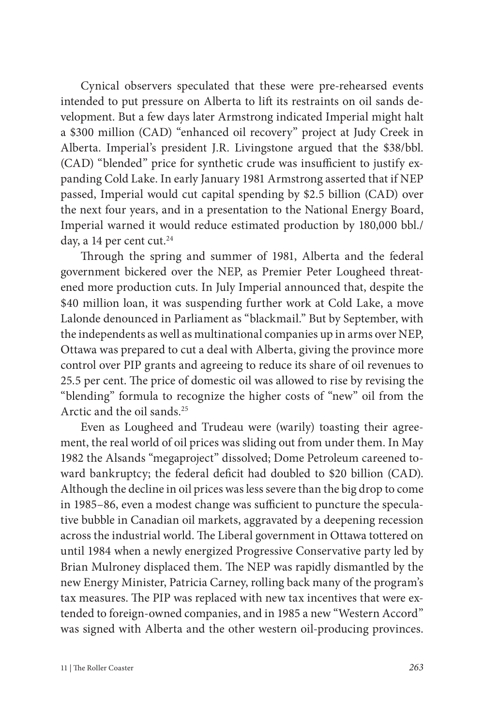Cynical observers speculated that these were pre-rehearsed events intended to put pressure on Alberta to lift its restraints on oil sands development. But a few days later Armstrong indicated Imperial might halt a \$300 million (CAD) "enhanced oil recovery" project at Judy Creek in Alberta. Imperial's president J.R. Livingstone argued that the \$38/bbl. (CAD) "blended" price for synthetic crude was insufficient to justify expanding Cold Lake. In early January 1981 Armstrong asserted that if NEP passed, Imperial would cut capital spending by \$2.5 billion (CAD) over the next four years, and in a presentation to the National Energy Board, Imperial warned it would reduce estimated production by 180,000 bbl./ day, a 14 per cent cut. $24$ 

Through the spring and summer of 1981, Alberta and the federal government bickered over the NEP, as Premier Peter Lougheed threatened more production cuts. In July Imperial announced that, despite the \$40 million loan, it was suspending further work at Cold Lake, a move Lalonde denounced in Parliament as "blackmail." But by September, with the independents as well as multinational companies up in arms over NEP, Ottawa was prepared to cut a deal with Alberta, giving the province more control over PIP grants and agreeing to reduce its share of oil revenues to 25.5 per cent. The price of domestic oil was allowed to rise by revising the "blending" formula to recognize the higher costs of "new" oil from the Arctic and the oil sands.25

Even as Lougheed and Trudeau were (warily) toasting their agreement, the real world of oil prices was sliding out from under them. In May 1982 the Alsands "megaproject" dissolved; Dome Petroleum careened toward bankruptcy; the federal deficit had doubled to \$20 billion (CAD). Although the decline in oil prices was less severe than the big drop to come in 1985–86, even a modest change was sufficient to puncture the speculative bubble in Canadian oil markets, aggravated by a deepening recession across the industrial world. The Liberal government in Ottawa tottered on until 1984 when a newly energized Progressive Conservative party led by Brian Mulroney displaced them. The NEP was rapidly dismantled by the new Energy Minister, Patricia Carney, rolling back many of the program's tax measures. The PIP was replaced with new tax incentives that were extended to foreign-owned companies, and in 1985 a new "Western Accord" was signed with Alberta and the other western oil-producing provinces.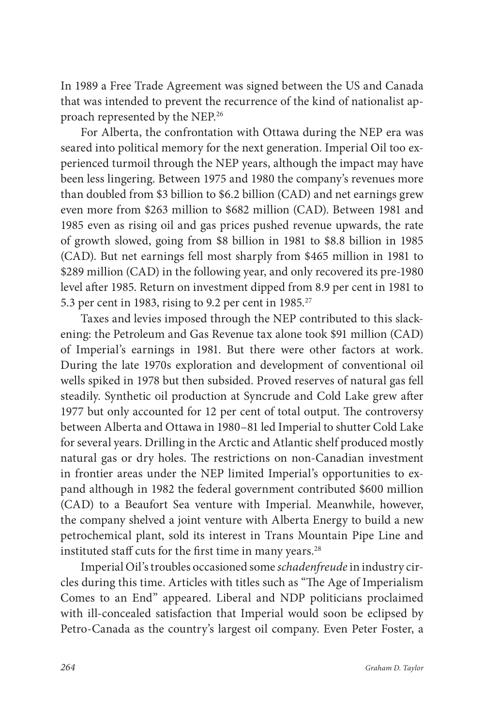In 1989 a Free Trade Agreement was signed between the US and Canada that was intended to prevent the recurrence of the kind of nationalist approach represented by the NEP.26

For Alberta, the confrontation with Ottawa during the NEP era was seared into political memory for the next generation. Imperial Oil too experienced turmoil through the NEP years, although the impact may have been less lingering. Between 1975 and 1980 the company's revenues more than doubled from \$3 billion to \$6.2 billion (CAD) and net earnings grew even more from \$263 million to \$682 million (CAD). Between 1981 and 1985 even as rising oil and gas prices pushed revenue upwards, the rate of growth slowed, going from \$8 billion in 1981 to \$8.8 billion in 1985 (CAD). But net earnings fell most sharply from \$465 million in 1981 to \$289 million (CAD) in the following year, and only recovered its pre-1980 level after 1985. Return on investment dipped from 8.9 per cent in 1981 to 5.3 per cent in 1983, rising to 9.2 per cent in  $1985.<sup>27</sup>$ 

Taxes and levies imposed through the NEP contributed to this slackening: the Petroleum and Gas Revenue tax alone took \$91 million (CAD) of Imperial's earnings in 1981. But there were other factors at work. During the late 1970s exploration and development of conventional oil wells spiked in 1978 but then subsided. Proved reserves of natural gas fell steadily. Synthetic oil production at Syncrude and Cold Lake grew after 1977 but only accounted for 12 per cent of total output. The controversy between Alberta and Ottawa in 1980–81 led Imperial to shutter Cold Lake for several years. Drilling in the Arctic and Atlantic shelf produced mostly natural gas or dry holes. The restrictions on non-Canadian investment in frontier areas under the NEP limited Imperial's opportunities to expand although in 1982 the federal government contributed \$600 million (CAD) to a Beaufort Sea venture with Imperial. Meanwhile, however, the company shelved a joint venture with Alberta Energy to build a new petrochemical plant, sold its interest in Trans Mountain Pipe Line and instituted staff cuts for the first time in many years.<sup>28</sup>

Imperial Oil's troubles occasioned some *schadenfreude* in industry circles during this time. Articles with titles such as "The Age of Imperialism Comes to an End" appeared. Liberal and NDP politicians proclaimed with ill-concealed satisfaction that Imperial would soon be eclipsed by Petro-Canada as the country's largest oil company. Even Peter Foster, a